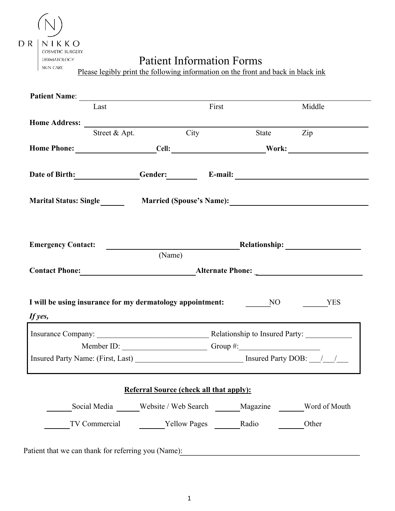|  | $R$   N   K K O  |  |  |
|--|------------------|--|--|
|  | COSMETIC SURGERY |  |  |
|  | DERMATOLOGY      |  |  |

SKIN CARE

# Patient Information Forms

Please legibly print the following information on the front and back in black ink

| Last                                                                                                                                                                                                                           |                                                          | First | Middle |
|--------------------------------------------------------------------------------------------------------------------------------------------------------------------------------------------------------------------------------|----------------------------------------------------------|-------|--------|
|                                                                                                                                                                                                                                |                                                          |       |        |
| Street & Apt.                                                                                                                                                                                                                  | City                                                     | State | Zip    |
| Home Phone: Cell: Cell: Work:                                                                                                                                                                                                  |                                                          |       |        |
| Date of Birth: Gender: E-mail:                                                                                                                                                                                                 |                                                          |       |        |
| Marital Status: Single                                                                                                                                                                                                         |                                                          |       |        |
|                                                                                                                                                                                                                                |                                                          |       |        |
|                                                                                                                                                                                                                                | <b>Example 2018</b> Relationship:                        |       |        |
|                                                                                                                                                                                                                                | (Name)                                                   |       |        |
| <b>Emergency Contact:</b>                                                                                                                                                                                                      |                                                          |       |        |
|                                                                                                                                                                                                                                |                                                          |       |        |
| I will be using insurance for my dermatology appointment: NO NO YES<br>If yes,                                                                                                                                                 |                                                          |       |        |
|                                                                                                                                                                                                                                | Member ID: Group #:                                      |       |        |
| Insured Party Name: (First, Last) Manual Party DOB: Manual Party DOB: Manual Party DOB: Manual Party DOB: Manual Party DOB: Manual Party DOB: Manual Party DOB: Manual Party DOB: Manual Party DOB: Manual Party Name: (First, |                                                          |       |        |
|                                                                                                                                                                                                                                | <b>Referral Source (check all that apply):</b>           |       |        |
|                                                                                                                                                                                                                                | Social Media Website / Web Search Magazine Word of Mouth |       |        |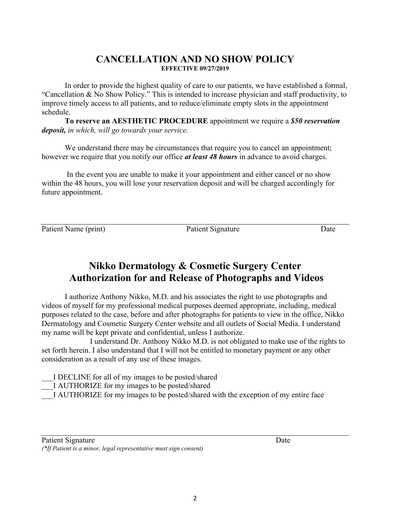### **CANCELLATION AND NO SHOW POLICY EFFECTIVE 09/27/2019**

In order to provide the highest quality of care to our patients, we have established a formal, "Cancellation & No Show Policy." This is intended to increase physician and staff productivity, to improve timely access to all patients, and to reduce/eliminate empty slots in the appointment schedule.

**To reserve an AESTHETIC PROCEDURE** appointment we require a *\$50 reservation deposit, in which, will go towards your service.*

We understand there may be circumstances that require you to cancel an appointment; however we require that you notify our office *at least 48 hours* in advance to avoid charges.

In the event you are unable to make it your appointment and either cancel or no show within the 48 hours, you will lose your reservation deposit and will be charged accordingly for future appointment.

Patient Name (print) Patient Signature Date

# **Nikko Dermatology & Cosmetic Surgery Center Authorization for and Release of Photographs and Videos**

I authorize Anthony Nikko, M.D. and his associates the right to use photographs and videos of myself for my professional medical purposes deemed appropriate, including, medical purposes related to the case, before and after photographs for patients to view in the office, Nikko Dermatology and Cosmetic Surgery Center website and all outlets of Social Media. I understand my name will be kept private and confidential, unless I authorize.

I understand Dr. Anthony Nikko M.D. is not obligated to make use of the rights to set forth herein. I also understand that I will not be entitled to monetary payment or any other consideration as a result of any use of these images.

I DECLINE for all of my images to be posted/shared

I AUTHORIZE for my images to be posted/shared

\_\_\_I AUTHORIZE for my images to be posted/shared with the exception of my entire face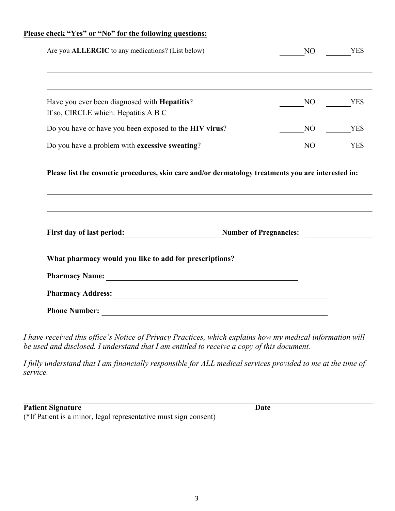### **Please check "Yes" or "No" for the following questions:**

|                                                                                                     | N <sub>O</sub> | <b>YES</b> |
|-----------------------------------------------------------------------------------------------------|----------------|------------|
|                                                                                                     |                |            |
| Have you ever been diagnosed with <b>Hepatitis</b> ?<br>If so, CIRCLE which: Hepatitis A B C        | NO             | <b>YES</b> |
| Do you have or have you been exposed to the HIV virus?                                              | NO.            | <b>YES</b> |
| Do you have a problem with excessive sweating?                                                      | N <sub>O</sub> | <b>YES</b> |
| Please list the cosmetic procedures, skin care and/or dermatology treatments you are interested in: |                |            |
| ,我们也不会有什么。""我们的人,我们也不会有什么?""我们的人,我们也不会有什么?""我们的人,我们也不会有什么?""我们的人,我们也不会有什么?""我们的人                    |                |            |
| First day of last period: Number of Pregnancies: Number of Pregnancies:                             |                |            |
| What pharmacy would you like to add for prescriptions?                                              |                |            |
|                                                                                                     |                |            |
|                                                                                                     |                |            |

*I have received this office's Notice of Privacy Practices, which explains how my medical information will be used and disclosed. I understand that I am entitled to receive a copy of this document.*

*I fully understand that I am financially responsible for ALL medical services provided to me at the time of service.*

| <b>Patient Signature</b>                                         | Date |
|------------------------------------------------------------------|------|
| (*If Patient is a minor, legal representative must sign consent) |      |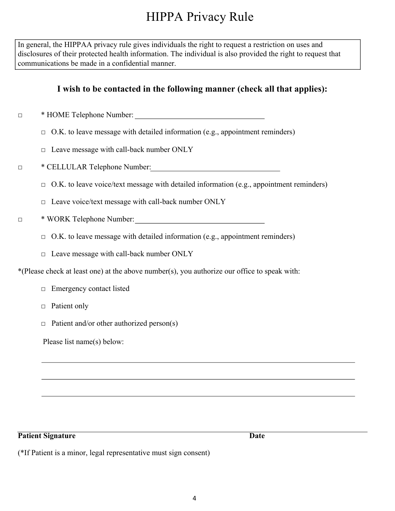# HIPPA Privacy Rule

In general, the HIPPAA privacy rule gives individuals the right to request a restriction on uses and disclosures of their protected health information. The individual is also provided the right to request that communications be made in a confidential manner.

## **I wish to be contacted in the following manner (check all that applies):**

- □ \* HOME Telephone Number:
	- $\Box$  O.K. to leave message with detailed information (e.g., appointment reminders)
	- $\Box$  Leave message with call-back number ONLY
- □ \* CELLULAR Telephone Number:
	- $\Box$  O.K. to leave voice/text message with detailed information (e.g., appointment reminders)
	- □ Leave voice/text message with call-back number ONLY
- □ \* WORK Telephone Number:
	- $\Box$  O.K. to leave message with detailed information (e.g., appointment reminders)
	- $\Box$  Leave message with call-back number ONLY

\*(Please check at least one) at the above number(s), you authorize our office to speak with:

- □ Emergency contact listed
- □ Patient only
- $\Box$  Patient and/or other authorized person(s)

Please list name(s) below:

#### **Patient Signature** Date

(\*If Patient is a minor, legal representative must sign consent)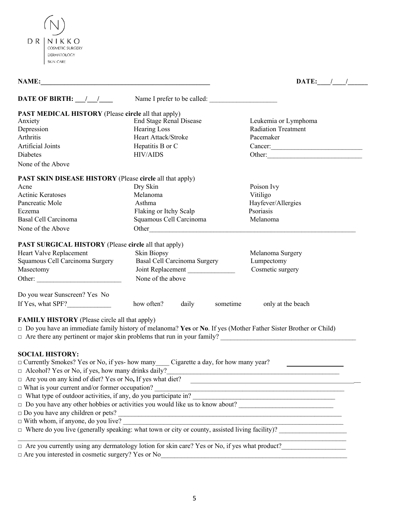| D R. | NIKKO<br>COSMETIC SURGERY |  |  |
|------|---------------------------|--|--|
|      | DERMATOLOGY               |  |  |
|      | <b>SKIN CARE</b>          |  |  |

| <b>NAME:</b><br><u> 1989 - Johann Barbara, martin din bashkar (b. 1989)</u> |                                                                                                                                                    | DATE: $\frac{1}{\sqrt{2}}$                                                                                             |
|-----------------------------------------------------------------------------|----------------------------------------------------------------------------------------------------------------------------------------------------|------------------------------------------------------------------------------------------------------------------------|
| DATE OF BIRTH: $\frac{1}{\frac{1}{2}}$                                      | Name I prefer to be called:                                                                                                                        |                                                                                                                        |
| <b>PAST MEDICAL HISTORY</b> (Please circle all that apply)                  |                                                                                                                                                    |                                                                                                                        |
| Anxiety                                                                     | End Stage Renal Disease                                                                                                                            | Leukemia or Lymphoma                                                                                                   |
| Depression                                                                  | <b>Hearing Loss</b>                                                                                                                                | <b>Radiation Treatment</b>                                                                                             |
| Arthritis                                                                   | Heart Attack/Stroke                                                                                                                                | Pacemaker                                                                                                              |
| Artificial Joints                                                           | Hepatitis B or C                                                                                                                                   | Cancer:                                                                                                                |
| Diabetes                                                                    | <b>HIV/AIDS</b>                                                                                                                                    | Other:                                                                                                                 |
| None of the Above                                                           |                                                                                                                                                    |                                                                                                                        |
| PAST SKIN DISEASE HISTORY (Please circle all that apply)                    |                                                                                                                                                    |                                                                                                                        |
| Acne                                                                        | Dry Skin                                                                                                                                           | Poison Ivy                                                                                                             |
| <b>Actinic Keratoses</b>                                                    | Melanoma                                                                                                                                           | Vitiligo                                                                                                               |
| Pancreatic Mole                                                             | Asthma                                                                                                                                             | Hayfever/Allergies                                                                                                     |
| Eczema                                                                      | Flaking or Itchy Scalp                                                                                                                             | Psoriasis                                                                                                              |
| Basal Cell Carcinoma                                                        | Squamous Cell Carcinoma                                                                                                                            | Melanoma                                                                                                               |
| None of the Above                                                           |                                                                                                                                                    |                                                                                                                        |
| <b>PAST SURGICAL HISTORY</b> (Please circle all that apply)                 |                                                                                                                                                    |                                                                                                                        |
| Heart Valve Replacement                                                     | Skin Biopsy                                                                                                                                        | Melanoma Surgery                                                                                                       |
| Squamous Cell Carcinoma Surgery                                             | Basal Cell Carcinoma Surgery                                                                                                                       | Lumpectomy                                                                                                             |
| Masectomy                                                                   | Joint Replacement                                                                                                                                  | Cosmetic surgery                                                                                                       |
|                                                                             | None of the above                                                                                                                                  |                                                                                                                        |
|                                                                             |                                                                                                                                                    |                                                                                                                        |
| Do you wear Sunscreen? Yes No                                               |                                                                                                                                                    |                                                                                                                        |
| If Yes, what SPF?                                                           | how often?<br>daily<br>sometime                                                                                                                    | only at the beach                                                                                                      |
| <b>FAMILY HISTORY</b> (Please circle all that apply)                        |                                                                                                                                                    |                                                                                                                        |
|                                                                             | □ Do you have an immediate family history of melanoma? Yes or No. If yes (Mother Father Sister Brother or Child)                                   |                                                                                                                        |
|                                                                             | $\Box$ Are there any pertinent or major skin problems that run in your family?                                                                     |                                                                                                                        |
|                                                                             |                                                                                                                                                    |                                                                                                                        |
| <b>SOCIAL HISTORY:</b>                                                      |                                                                                                                                                    |                                                                                                                        |
|                                                                             | $\Box$ Currently Smokes? Yes or No, if yes- how many Cigarette a day, for how many year?                                                           |                                                                                                                        |
| $\Box$ Alcohol? Yes or No, if yes, how many drinks daily?                   |                                                                                                                                                    | the contract of the contract of the contract of the contract of the contract of the contract of the contract of        |
| $\Box$ Are you on any kind of diet? Yes or No, If yes what diet?            |                                                                                                                                                    |                                                                                                                        |
| $\Box$ What is your current and/or former occupation?                       |                                                                                                                                                    |                                                                                                                        |
| $\Box$ What type of outdoor activities, if any, do you participate in?      |                                                                                                                                                    | <u> 1989 - Johann Stoff, deutscher Stoffen und der Stoffen und der Stoffen und der Stoffen und der Stoffen und der</u> |
|                                                                             |                                                                                                                                                    |                                                                                                                        |
|                                                                             | $\Box$ Do you have any children or pets?                                                                                                           |                                                                                                                        |
| $\Box$ With whom, if anyone, do you live?                                   | $\Box$ With whom, if anyone, do you live?<br>$\Box$ Where do you live (generally speaking: what town or city or county, assisted living facility)? |                                                                                                                        |
|                                                                             |                                                                                                                                                    |                                                                                                                        |
|                                                                             |                                                                                                                                                    |                                                                                                                        |

 $\Box$  Are you currently using any dermatology lotion for skin care? Yes or No, if yes what product?

 $\Box$  Are you interested in cosmetic surgery? Yes or No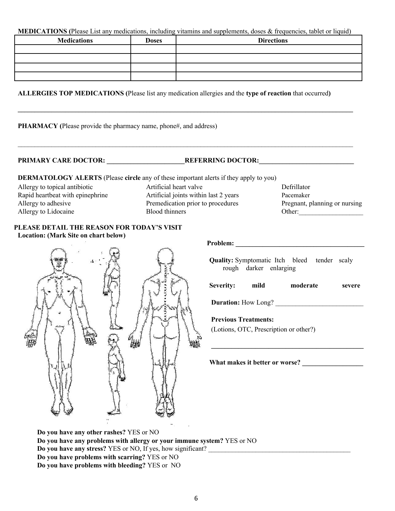#### **MEDICATIONS (**Please List any medications, including vitamins and supplements, doses & frequencies, tablet or liquid)

| <b>Medications</b> | <b>Doses</b> | <b>Directions</b> |
|--------------------|--------------|-------------------|
|                    |              |                   |
|                    |              |                   |
|                    |              |                   |
|                    |              |                   |

**\_\_\_\_\_\_\_\_\_\_\_\_\_\_\_\_\_\_\_\_\_\_\_\_\_\_\_\_\_\_\_\_\_\_\_\_\_\_\_\_\_\_\_\_\_\_\_\_\_\_\_\_\_\_\_\_\_\_\_\_\_\_\_\_\_\_\_\_\_\_\_\_\_\_\_\_\_\_\_\_\_\_\_\_\_\_\_\_\_\_\_\_\_\_\_\_\_\_\_**

 $\mathcal{L}_\text{max} = \frac{1}{2} \sum_{i=1}^n \mathcal{L}_\text{max} = \frac{1}{2} \sum_{i=1}^n \mathcal{L}_\text{max} = \frac{1}{2} \sum_{i=1}^n \mathcal{L}_\text{max} = \frac{1}{2} \sum_{i=1}^n \mathcal{L}_\text{max} = \frac{1}{2} \sum_{i=1}^n \mathcal{L}_\text{max} = \frac{1}{2} \sum_{i=1}^n \mathcal{L}_\text{max} = \frac{1}{2} \sum_{i=1}^n \mathcal{L}_\text{max} = \frac{1}{2} \sum_{i=$ 

#### **ALLERGIES TOP MEDICATIONS (**Please list any medication allergies and the **type of reaction** that occurred**)**

**PHARMACY (**Please provide the pharmacy name, phone#, and address)

PRIMARY CARE DOCTOR: **WE REFERRING DOCTOR:** 

**DERMATOLOGY ALERTS** (Please **circle** any of these important alerts if they apply to you)

Allergy to topical antibiotic Rapid heartbeat with epinephrine Allergy to adhesive Allergy to Lidocaine

Artificial heart valve Defrillator Artificial joints within last 2 years Pacemaker Premedication prior to procedures Pregnant, planning or nursing Blood thinners Other:



**PLEASE DETAIL THE REASON FOR TODAY'S VISIT**

 **Problem: \_\_\_\_\_\_\_\_\_\_\_\_\_\_\_\_\_\_\_\_\_\_\_\_\_\_\_\_\_\_\_\_\_\_\_\_\_\_**

**Quality:** Symptomatic Itch bleed tender scaly rough darker enlarging

| <b>Severity:</b> | mild | moderate | severe |
|------------------|------|----------|--------|
|                  |      |          |        |

**\_\_\_\_\_\_\_\_\_\_\_\_\_\_\_\_\_\_\_\_\_\_\_\_\_\_\_\_\_\_\_\_\_\_\_\_\_\_\_\_\_\_\_\_\_**

**Duration:** How Long?

#### **Previous Treatments:**

(Lotions, OTC, Prescription or other?)

**What makes it better or worse? \_\_\_\_\_\_\_\_\_\_\_\_\_\_\_\_\_\_**

**Do you have any other rashes?** YES or NO **Do you have any problems with allergy or your immune system?** YES or NO **Do you have any stress?** YES or NO, If yes, how significant? **Do you have problems with scarring?** YES or NO **Do you have problems with bleeding?** YES or NO